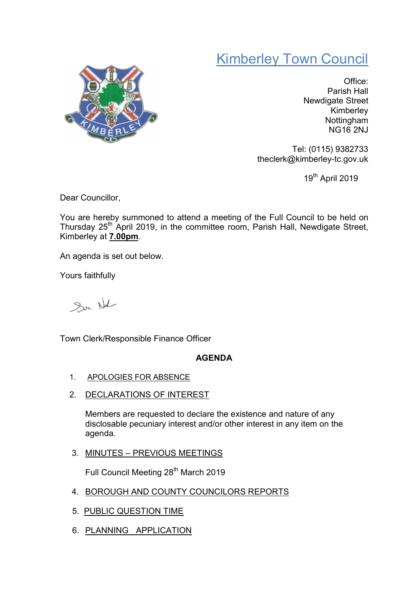## Kimberley Town Council



Office: Parish Hall Newdigate Street Kimberley Nottingham NG16 2NJ

Tel: (0115) 9382733 theclerk@kimberley-tc.gov.uk

19th April 2019

Dear Councillor,

You are hereby summoned to attend a meeting of the Full Council to be held on Thursday 25<sup>th</sup> April 2019, in the committee room, Parish Hall, Newdigate Street, Kimberley at 7.00pm.

An agenda is set out below.

Yours faithfully

Sur Not

Town Clerk/Responsible Finance Officer

## AGENDA

- 1. APOLOGIES FOR ABSENCE
- 2. DECLARATIONS OF INTEREST

Members are requested to declare the existence and nature of any disclosable pecuniary interest and/or other interest in any item on the agenda.

3. MINUTES – PREVIOUS MEETINGS

Full Council Meeting 28<sup>th</sup> March 2019

- 4. BOROUGH AND COUNTY COUNCILORS REPORTS
- 5. PUBLIC QUESTION TIME
- 6. PLANNING APPLICATION